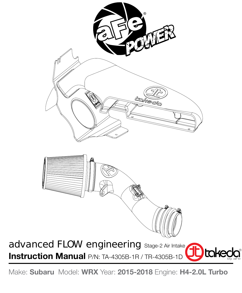

Make: **Subaru** Model: **WRX** Year: **2015-2018** Engine: **H4-2.0L Turbo**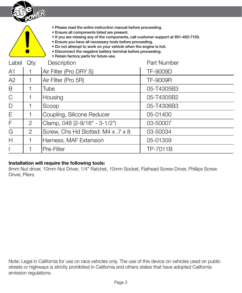

- Please read the entire instruction manual before proceeding.
- Ensure all components listed are present.
- If you are missing any of the components, call customer support at 951-493-7100.
- Ensure you have all necessary tools before proceeding.
- Do not attempt to work on your vehicle when the engine is hot.
- Disconnect the negative battery terminal before proceeding.
- Retain factory parts for future use.

| Label          | Qty. | Description                        | Part Number     |
|----------------|------|------------------------------------|-----------------|
| A <sub>1</sub> |      | Air Filter (Pro DRY S)             | TF-9009D        |
| A2             |      | Air Filter (Pro 5R)                | <b>TF-9009R</b> |
| B              |      | Tube                               | 05-T4305B3      |
| $\mathsf{C}$   |      | Housing                            | 05-T4305B2      |
| D              |      | Scoop                              | 05-T4306B3      |
| E              |      | Coupling, Silicone Reducer         | 05-01400        |
| F              | 2    | Clamp, 048 (2-9/16" - 3-1/2")      | 03-50007        |
| G              | 2    | Screw, Chs Hd Slotted: M4 x .7 x 8 | 03-50034        |
| H              |      | Harness, MAF Extension             | 05-01359        |
|                |      | Pre-Filter                         | TP-7011B        |

#### **Installation will require the following tools:**

8mm Nut driver, 10mm Nut Driver, 1/4" Ratchet, 10mm Socket, Flathead Screw Driver, Phillips Screw Driver, Pliers.

Note: Legal in California for use on race vehicles only. The use of this device on vehicles used on public streets or highways is strictly prohibited in California and others states that have adopted California emission regulations.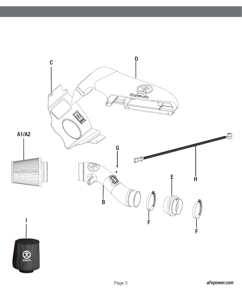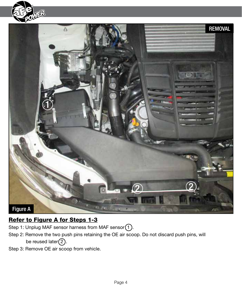



## Refer to Figure A for Steps 1-3

- Step 1: Unplug MAF sensor harness from MAF sensor $(1)$ .
- Step 2: Remove the two push pins retaining the OE air scoop. Do not discard push pins, will be reused later $(2)$ .
- Step 3: Remove OE air scoop from vehicle.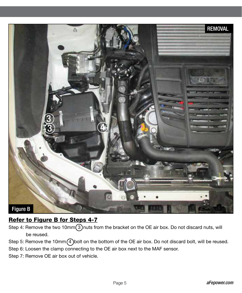

## Refer to Figure B for Steps 4-7

- Step 4: Remove the two 10mm $(3)$ nuts from the bracket on the OE air box. Do not discard nuts, will be reused.
- Step 5: Remove the 10mm $\left(4\right)$ bolt on the bottom of the OE air box. Do not discard bolt, will be reused.
- Step 6: Loosen the clamp connecting to the OE air box next to the MAF sensor.
- Step 7: Remove OE air box out of vehicle.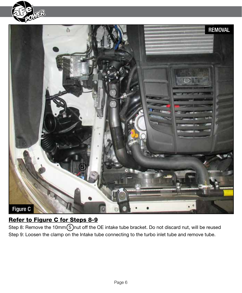



## Refer to Figure C for Steps 8-9

Step 8: Remove the 10mm $(5)$ nut off the OE intake tube bracket. Do not discard nut, will be reused Step 9: Loosen the clamp on the Intake tube connecting to the turbo inlet tube and remove tube.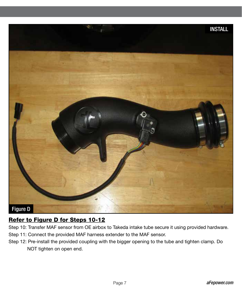

## Refer to Figure D for Steps 10-12

Step 10: Transfer MAF sensor from OE airbox to Takeda intake tube secure it using provided hardware.

- Step 11: Connect the provided MAF harness extender to the MAF sensor.
- Step 12: Pre-install the provided coupling with the bigger opening to the tube and tighten clamp. Do NOT tighten on open end.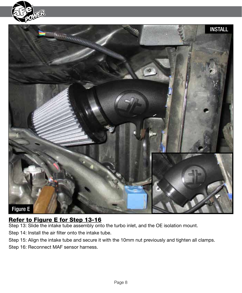



#### Refer to Figure E for Step 13-16

Step 13: Slide the intake tube assembly onto the turbo inlet, and the OE isolation mount.

Step 14: Install the air filter onto the intake tube.

Step 15: Align the intake tube and secure it with the 10mm nut previously and tighten all clamps.

Step 16: Reconnect MAF sensor harness.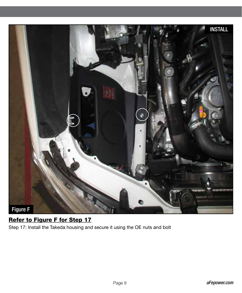

## Refer to Figure F for Step 17

Step 17: Install the Takeda housing and secure it using the OE nuts and bolt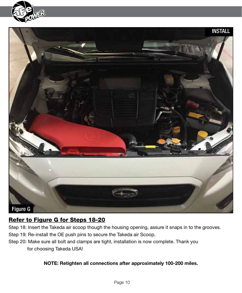



## Refer to Figure G for Steps 18-20

Step 18: Insert the Takeda air scoop though the housing opening, assure it snaps in to the grooves.

Step 19: Re-install the OE push pins to secure the Takeda air Scoop.

Step 20: Make sure all bolt and clamps are tight, installation is now complete. Thank you for choosing Takeda USA!

**NOTE: Retighten all connections after approximately 100-200 miles.**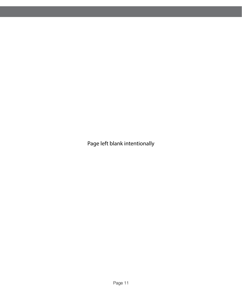Page left blank intentionally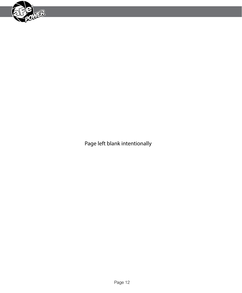

Page left blank intentionally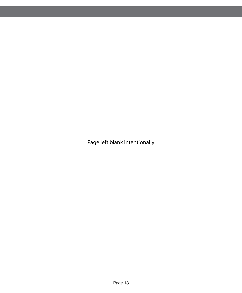Page left blank intentionally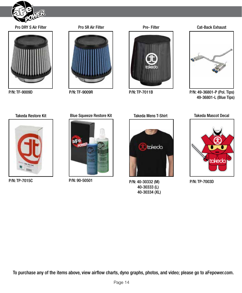

#### Pro DRY S Air Filter



P/N: TF-9009D

P/N: TP-7015C



P/N: TF-9009R

Pre- Filter



P/N: TP-7011B

Cat-Back Exhaust



P/N: 49-36801-P (Pol. Tips) 49-36801-L (Blue Tips)



P/N: TP-7003D



P/N: 90-50501 P/N: 40-30332 (M)



 40-30333 (L) 40-30334 (XL)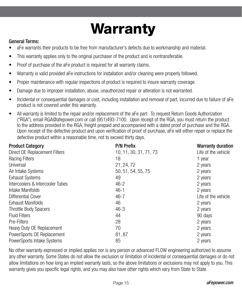# **Warranty**

#### General Terms:

- aFe warrants their products to be free from manufacturer's defects due to workmanship and material.
- This warranty applies only to the original purchaser of the product and is nontransferable.
- Proof of purchase of the aFe product is required for all warranty claims.
- Warranty is valid provided aFe instructions for installation and/or cleaning were properly followed.
- Proper maintenance with regular inspections of product is required to insure warranty coverage.
- Damage due to improper installation, abuse, unauthorized repair or alteration is not warranted.
- Incidental or consequential damages or cost, including installation and removal of part, incurred due to failure of aFe product is not covered under this warranty.
- All warranty is limited to the repair and/or replacement of the aFe part. To request Return Goods Authorization ("RGA"), email RGA@afepower.com or call (951)493-7100. Upon receipt of the RGA, you must return the product to the address provided in the RGA, freight prepaid and accompanied with a dated proof of purchase and the RGA. Upon receipt of the defective product and upon verification of proof of purchase, aFe will either repair or replace the defective product within a reasonable time, not to exceed thirty days.

| <b>Product Category</b>          | <b>P/N Prefix</b>      | <b>Warranty duration</b> |  |
|----------------------------------|------------------------|--------------------------|--|
| Direct OE Replacement Filters    | 10, 11, 30, 31, 71, 73 | Life of the vehicle      |  |
| <b>Racing Filters</b>            | 18                     | 1 year                   |  |
| Universal                        | 21, 24, 72             | 2 years                  |  |
| Air Intake Systems               | 50, 51, 54, 55, 75     | 2 years                  |  |
| <b>Exhaust Systems</b>           | 49                     | 2 years                  |  |
| Intercoolers & Intercooler Tubes | $46 - 2$               | 2 years                  |  |
| Intake Manifolds                 | $46-1$                 | 2 years                  |  |
| <b>Differential Cover</b>        | $46 - 7$               | Life of the vehicle      |  |
| <b>Exhaust Manifolds</b>         | 46                     | 2 years                  |  |
| <b>Throttle Body Spacers</b>     | $46 - 3$               | 2 years                  |  |
| <b>Fluid Filters</b>             | 44                     | 90 days                  |  |
| Pre-Filters                      | 28                     | 2 years                  |  |
| Heavy Duty OE Replacement        | 70                     | 2 years                  |  |
| PowerSports OE Replacement       | 81, 87                 | 2 years                  |  |
| PowerSports Intake Systems       | 85                     | 2 years                  |  |

No other warranty expressed or implied applies nor is any person or advanced FLOW engineering authorized to assume any other warranty. Some States do not allow the exclusion or limitation of incidental or consequential damages or do not allow limitations on how long an implied warranty lasts, so the above limitations or exclusions may not apply to you. This warranty gives you specific legal rights, and you may also have other rights which vary from State to State.